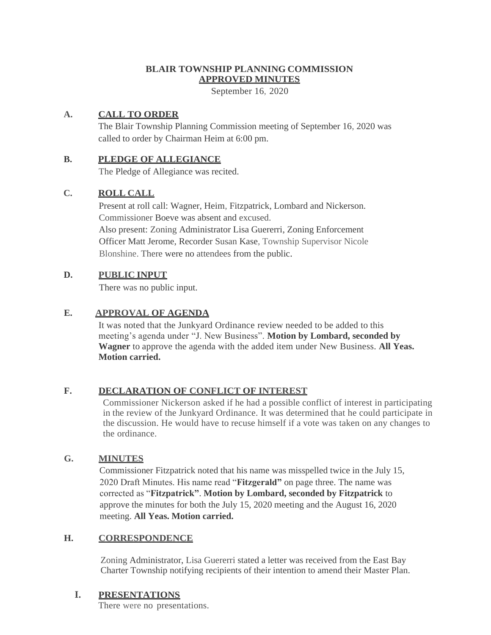## **BLAIR TOWNSHIP PLANNING COMMISSION APPROVED MINUTES**

September 16, 2020

## **A. CALL TO ORDER**

The Blair Township Planning Commission meeting of September 16, 2020 was called to order by Chairman Heim at 6:00 pm.

#### **B. PLEDGE OF ALLEGIANCE**

The Pledge of Allegiance was recited.

### **C. ROLL CALL**

Present at roll call: Wagner, Heim, Fitzpatrick, Lombard and Nickerson. Commissioner Boeve was absent and excused. Also present: Zoning Administrator Lisa Guererri, Zoning Enforcement Officer Matt Jerome, Recorder Susan Kase, Township Supervisor Nicole Blonshine. There were no attendees from the public.

### **D. PUBLIC INPUT**

There was no public input.

## **E. APPROVAL OF AGENDA**

It was noted that the Junkyard Ordinance review needed to be added to this meeting's agenda under "J. New Business". **Motion by Lombard, seconded by Wagner** to approve the agenda with the added item under New Business. **All Yeas. Motion carried.**

## **F. DECLARATION OF CONFLICT OF INTEREST**

Commissioner Nickerson asked if he had a possible conflict of interest in participating in the review of the Junkyard Ordinance. It was determined that he could participate in the discussion. He would have to recuse himself if a vote was taken on any changes to the ordinance.

#### **G. MINUTES**

Commissioner Fitzpatrick noted that his name was misspelled twice in the July 15, 2020 Draft Minutes. His name read "**Fitzgerald"** on page three. The name was corrected as "**Fitzpatrick"**. **Motion by Lombard, seconded by Fitzpatrick** to approve the minutes for both the July 15, 2020 meeting and the August 16, 2020 meeting. **All Yeas. Motion carried.**

#### **H. CORRESPONDENCE**

Zoning Administrator, Lisa Guererri stated a letter was received from the East Bay Charter Township notifying recipients of their intention to amend their Master Plan.

#### **I. PRESENTATIONS**

There were no presentations.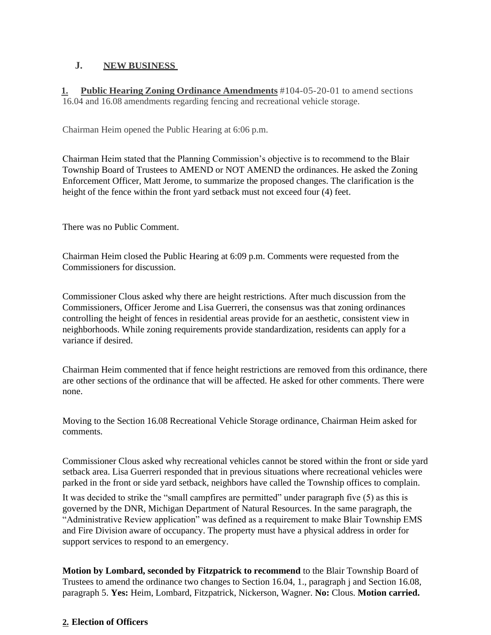## **J. NEW BUSINESS**

**1. Public Hearing Zoning Ordinance Amendments** #104-05-20-01 to amend sections 16.04 and 16.08 amendments regarding fencing and recreational vehicle storage.

Chairman Heim opened the Public Hearing at 6:06 p.m.

Chairman Heim stated that the Planning Commission's objective is to recommend to the Blair Township Board of Trustees to AMEND or NOT AMEND the ordinances. He asked the Zoning Enforcement Officer, Matt Jerome, to summarize the proposed changes. The clarification is the height of the fence within the front yard setback must not exceed four (4) feet.

There was no Public Comment.

Chairman Heim closed the Public Hearing at 6:09 p.m. Comments were requested from the Commissioners for discussion.

Commissioner Clous asked why there are height restrictions. After much discussion from the Commissioners, Officer Jerome and Lisa Guerreri, the consensus was that zoning ordinances controlling the height of fences in residential areas provide for an aesthetic, consistent view in neighborhoods. While zoning requirements provide standardization, residents can apply for a variance if desired.

Chairman Heim commented that if fence height restrictions are removed from this ordinance, there are other sections of the ordinance that will be affected. He asked for other comments. There were none.

Moving to the Section 16.08 Recreational Vehicle Storage ordinance, Chairman Heim asked for comments.

Commissioner Clous asked why recreational vehicles cannot be stored within the front or side yard setback area. Lisa Guerreri responded that in previous situations where recreational vehicles were parked in the front or side yard setback, neighbors have called the Township offices to complain.

It was decided to strike the "small campfires are permitted" under paragraph five (5) as this is governed by the DNR, Michigan Department of Natural Resources. In the same paragraph, the "Administrative Review application" was defined as a requirement to make Blair Township EMS and Fire Division aware of occupancy. The property must have a physical address in order for support services to respond to an emergency.

**Motion by Lombard, seconded by Fitzpatrick to recommend** to the Blair Township Board of Trustees to amend the ordinance two changes to Section 16.04, 1., paragraph j and Section 16.08, paragraph 5. **Yes:** Heim, Lombard, Fitzpatrick, Nickerson, Wagner. **No:** Clous. **Motion carried.**

# **2. Election of Officers**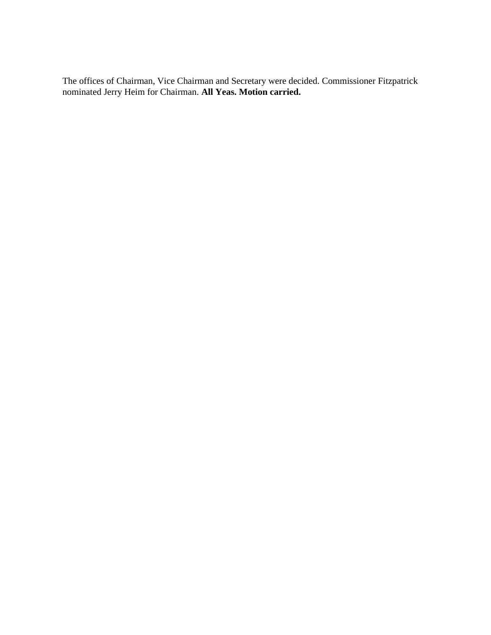The offices of Chairman, Vice Chairman and Secretary were decided. Commissioner Fitzpatrick nominated Jerry Heim for Chairman. **All Yeas. Motion carried.**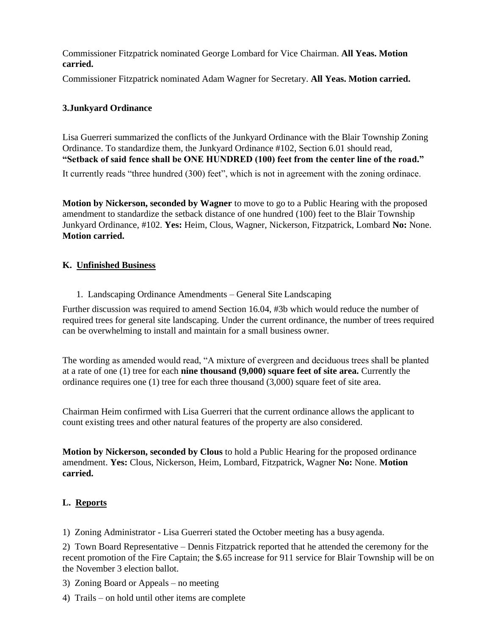Commissioner Fitzpatrick nominated George Lombard for Vice Chairman. **All Yeas. Motion carried.**

Commissioner Fitzpatrick nominated Adam Wagner for Secretary. **All Yeas. Motion carried.** 

#### **3.Junkyard Ordinance**

Lisa Guerreri summarized the conflicts of the Junkyard Ordinance with the Blair Township Zoning Ordinance. To standardize them, the Junkyard Ordinance #102, Section 6.01 should read, **"Setback of said fence shall be ONE HUNDRED (100) feet from the center line of the road."**

It currently reads "three hundred (300) feet", which is not in agreement with the zoning ordinace.

**Motion by Nickerson, seconded by Wagner** to move to go to a Public Hearing with the proposed amendment to standardize the setback distance of one hundred (100) feet to the Blair Township Junkyard Ordinance, #102. **Yes:** Heim, Clous, Wagner, Nickerson, Fitzpatrick, Lombard **No:** None. **Motion carried.**

### **K. Unfinished Business**

1. Landscaping Ordinance Amendments – General Site Landscaping

Further discussion was required to amend Section 16.04, #3b which would reduce the number of required trees for general site landscaping. Under the current ordinance, the number of trees required can be overwhelming to install and maintain for a small business owner.

The wording as amended would read, "A mixture of evergreen and deciduous trees shall be planted at a rate of one (1) tree for each **nine thousand (9,000) square feet of site area.** Currently the ordinance requires one (1) tree for each three thousand (3,000) square feet of site area.

Chairman Heim confirmed with Lisa Guerreri that the current ordinance allows the applicant to count existing trees and other natural features of the property are also considered.

**Motion by Nickerson, seconded by Clous** to hold a Public Hearing for the proposed ordinance amendment. **Yes:** Clous, Nickerson, Heim, Lombard, Fitzpatrick, Wagner **No:** None. **Motion carried.**

#### **L. Reports**

1) Zoning Administrator - Lisa Guerreri stated the October meeting has a busy agenda.

2) Town Board Representative – Dennis Fitzpatrick reported that he attended the ceremony for the recent promotion of the Fire Captain; the \$.65 increase for 911 service for Blair Township will be on the November 3 election ballot.

3) Zoning Board or Appeals – no meeting

4) Trails – on hold until other items are complete